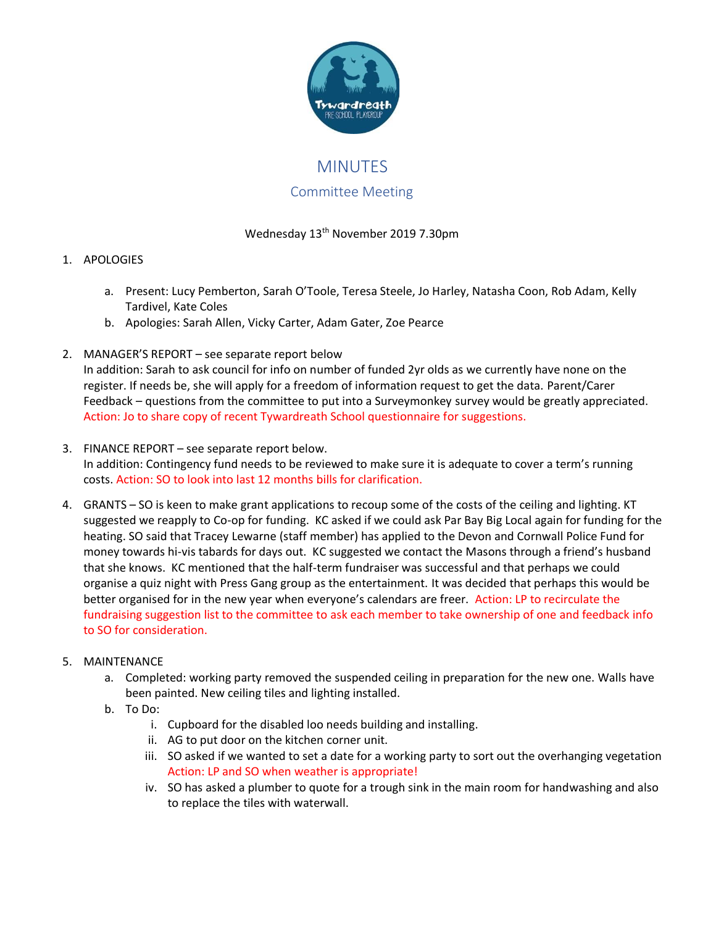

# **MINUTFS**

## Committee Meeting

## Wednesday 13th November 2019 7.30pm

## 1. APOLOGIES

- a. Present: Lucy Pemberton, Sarah O'Toole, Teresa Steele, Jo Harley, Natasha Coon, Rob Adam, Kelly Tardivel, Kate Coles
- b. Apologies: Sarah Allen, Vicky Carter, Adam Gater, Zoe Pearce
- 2. MANAGER'S REPORT see separate report below

In addition: Sarah to ask council for info on number of funded 2yr olds as we currently have none on the register. If needs be, she will apply for a freedom of information request to get the data. Parent/Carer Feedback – questions from the committee to put into a Surveymonkey survey would be greatly appreciated. Action: Jo to share copy of recent Tywardreath School questionnaire for suggestions.

- 3. FINANCE REPORT see separate report below. In addition: Contingency fund needs to be reviewed to make sure it is adequate to cover a term's running costs. Action: SO to look into last 12 months bills for clarification.
- 4. GRANTS SO is keen to make grant applications to recoup some of the costs of the ceiling and lighting. KT suggested we reapply to Co-op for funding. KC asked if we could ask Par Bay Big Local again for funding for the heating. SO said that Tracey Lewarne (staff member) has applied to the Devon and Cornwall Police Fund for money towards hi-vis tabards for days out. KC suggested we contact the Masons through a friend's husband that she knows. KC mentioned that the half-term fundraiser was successful and that perhaps we could organise a quiz night with Press Gang group as the entertainment. It was decided that perhaps this would be better organised for in the new year when everyone's calendars are freer. Action: LP to recirculate the fundraising suggestion list to the committee to ask each member to take ownership of one and feedback info to SO for consideration.

### 5. MAINTENANCE

- a. Completed: working party removed the suspended ceiling in preparation for the new one. Walls have been painted. New ceiling tiles and lighting installed.
- b. To Do:
	- i. Cupboard for the disabled loo needs building and installing.
	- ii. AG to put door on the kitchen corner unit.
	- iii. SO asked if we wanted to set a date for a working party to sort out the overhanging vegetation Action: LP and SO when weather is appropriate!
	- iv. SO has asked a plumber to quote for a trough sink in the main room for handwashing and also to replace the tiles with waterwall.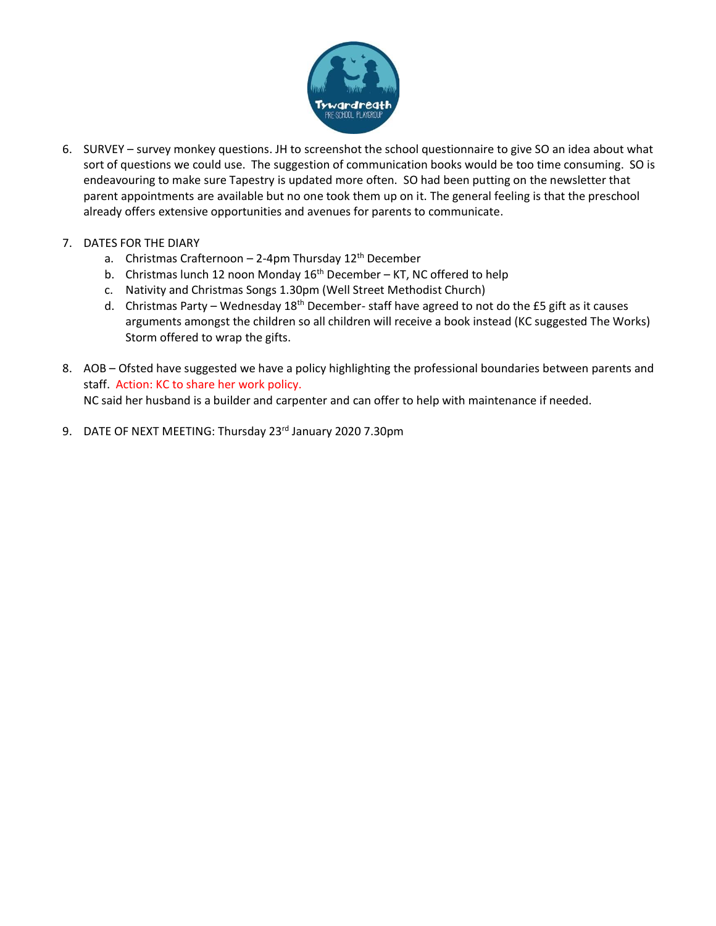

- 6. SURVEY survey monkey questions. JH to screenshot the school questionnaire to give SO an idea about what sort of questions we could use. The suggestion of communication books would be too time consuming. SO is endeavouring to make sure Tapestry is updated more often. SO had been putting on the newsletter that parent appointments are available but no one took them up on it. The general feeling is that the preschool already offers extensive opportunities and avenues for parents to communicate.
- 7. DATES FOR THE DIARY
	- a. Christmas Crafternoon 2-4pm Thursday 12<sup>th</sup> December
	- b. Christmas lunch 12 noon Monday  $16<sup>th</sup>$  December KT, NC offered to help
	- c. Nativity and Christmas Songs 1.30pm (Well Street Methodist Church)
	- d. Christmas Party Wednesday  $18^{th}$  December- staff have agreed to not do the £5 gift as it causes arguments amongst the children so all children will receive a book instead (KC suggested The Works) Storm offered to wrap the gifts.
- 8. AOB Ofsted have suggested we have a policy highlighting the professional boundaries between parents and staff. Action: KC to share her work policy. NC said her husband is a builder and carpenter and can offer to help with maintenance if needed.
- 9. DATE OF NEXT MEETING: Thursday 23rd January 2020 7.30pm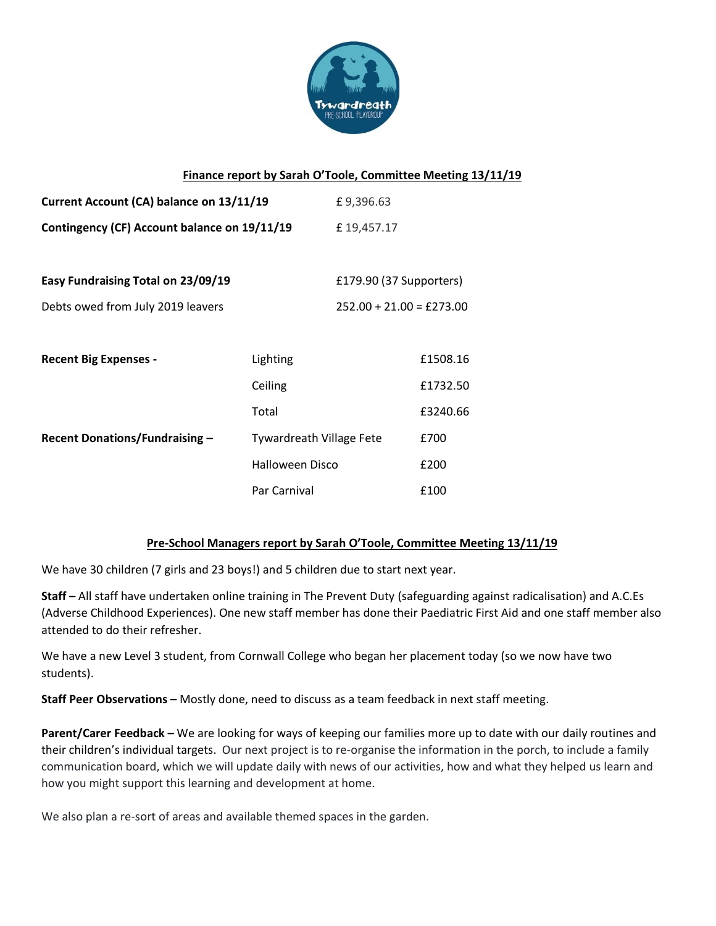

#### **Finance report by Sarah O'Toole, Committee Meeting 13/11/19**

| Current Account (CA) balance on 13/11/19     |                                 | £9,396.63                  |          |
|----------------------------------------------|---------------------------------|----------------------------|----------|
| Contingency (CF) Account balance on 19/11/19 |                                 | £19,457.17                 |          |
|                                              |                                 |                            |          |
| Easy Fundraising Total on 23/09/19           |                                 | £179.90 (37 Supporters)    |          |
| Debts owed from July 2019 leavers            |                                 | $252.00 + 21.00 = £273.00$ |          |
|                                              |                                 |                            |          |
| <b>Recent Big Expenses -</b>                 | Lighting                        |                            | £1508.16 |
|                                              | Ceiling                         |                            | £1732.50 |
|                                              | Total                           |                            | £3240.66 |
| <b>Recent Donations/Fundraising -</b>        | <b>Tywardreath Village Fete</b> |                            | £700     |
|                                              | <b>Halloween Disco</b>          |                            | £200     |
|                                              | Par Carnival                    |                            | £100     |

### **Pre-School Managers report by Sarah O'Toole, Committee Meeting 13/11/19**

We have 30 children (7 girls and 23 boys!) and 5 children due to start next year.

**Staff –** All staff have undertaken online training in The Prevent Duty (safeguarding against radicalisation) and A.C.Es (Adverse Childhood Experiences). One new staff member has done their Paediatric First Aid and one staff member also attended to do their refresher.

We have a new Level 3 student, from Cornwall College who began her placement today (so we now have two students).

**Staff Peer Observations –** Mostly done, need to discuss as a team feedback in next staff meeting.

**Parent/Carer Feedback –** We are looking for ways of keeping our families more up to date with our daily routines and their children's individual targets. Our next project is to re-organise the information in the porch, to include a family communication board, which we will update daily with news of our activities, how and what they helped us learn and how you might support this learning and development at home.

We also plan a re-sort of areas and available themed spaces in the garden.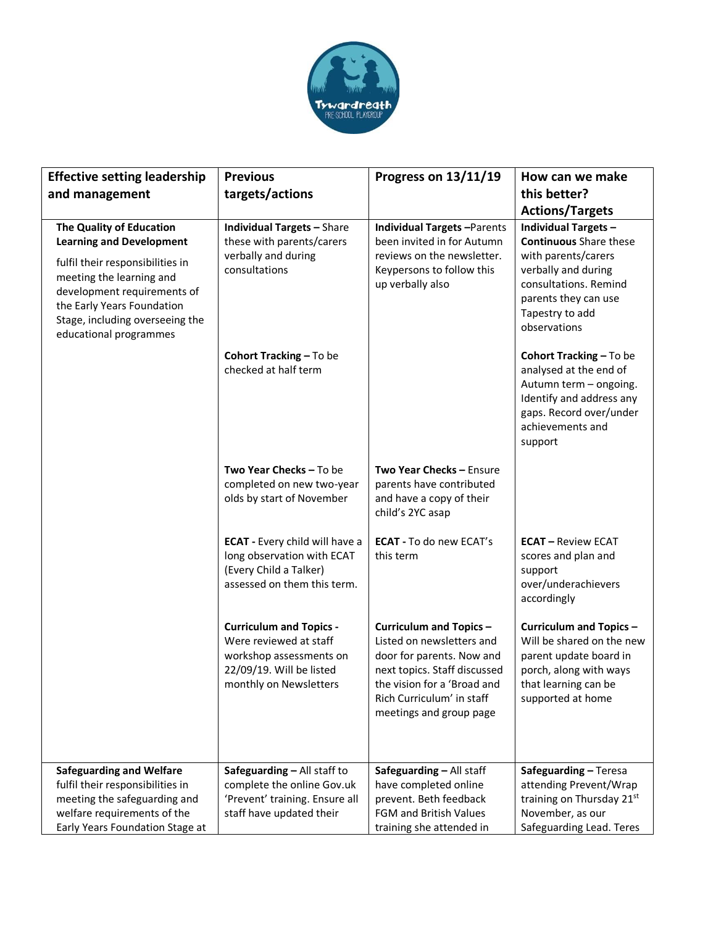

| <b>Effective setting leadership</b><br>and management                                                                                                                                  | <b>Previous</b><br>targets/actions                                                                                                        | Progress on 13/11/19                                                                                                                                                                                            | How can we make<br>this better?<br><b>Actions/Targets</b>                                                                                                         |
|----------------------------------------------------------------------------------------------------------------------------------------------------------------------------------------|-------------------------------------------------------------------------------------------------------------------------------------------|-----------------------------------------------------------------------------------------------------------------------------------------------------------------------------------------------------------------|-------------------------------------------------------------------------------------------------------------------------------------------------------------------|
| The Quality of Education<br><b>Learning and Development</b>                                                                                                                            | <b>Individual Targets - Share</b><br>these with parents/carers<br>verbally and during<br>consultations                                    | <b>Individual Targets-Parents</b><br>been invited in for Autumn<br>reviews on the newsletter.<br>Keypersons to follow this<br>up verbally also                                                                  | <b>Individual Targets -</b><br><b>Continuous</b> Share these                                                                                                      |
| fulfil their responsibilities in<br>meeting the learning and<br>development requirements of<br>the Early Years Foundation<br>Stage, including overseeing the<br>educational programmes |                                                                                                                                           |                                                                                                                                                                                                                 | with parents/carers<br>verbally and during<br>consultations. Remind<br>parents they can use<br>Tapestry to add<br>observations                                    |
|                                                                                                                                                                                        | Cohort Tracking - To be<br>checked at half term                                                                                           |                                                                                                                                                                                                                 | Cohort Tracking - To be<br>analysed at the end of<br>Autumn term - ongoing.<br>Identify and address any<br>gaps. Record over/under<br>achievements and<br>support |
|                                                                                                                                                                                        | Two Year Checks - To be<br>completed on new two-year<br>olds by start of November                                                         | Two Year Checks - Ensure<br>parents have contributed<br>and have a copy of their<br>child's 2YC asap                                                                                                            |                                                                                                                                                                   |
|                                                                                                                                                                                        | ECAT - Every child will have a<br>long observation with ECAT<br>(Every Child a Talker)<br>assessed on them this term.                     | <b>ECAT - To do new ECAT's</b><br>this term                                                                                                                                                                     | <b>ECAT - Review ECAT</b><br>scores and plan and<br>support<br>over/underachievers<br>accordingly                                                                 |
|                                                                                                                                                                                        | <b>Curriculum and Topics -</b><br>Were reviewed at staff<br>workshop assessments on<br>22/09/19. Will be listed<br>monthly on Newsletters | <b>Curriculum and Topics -</b><br>Listed on newsletters and<br>door for parents. Now and<br>next topics. Staff discussed<br>the vision for a 'Broad and<br>Rich Curriculum' in staff<br>meetings and group page | Curriculum and Topics-<br>Will be shared on the new<br>parent update board in<br>porch, along with ways<br>that learning can be<br>supported at home              |
| <b>Safeguarding and Welfare</b><br>fulfil their responsibilities in<br>meeting the safeguarding and                                                                                    | Safeguarding - All staff to<br>complete the online Gov.uk<br>'Prevent' training. Ensure all                                               | Safeguarding - All staff<br>have completed online<br>prevent. Beth feedback                                                                                                                                     | Safeguarding - Teresa<br>attending Prevent/Wrap<br>training on Thursday 21st                                                                                      |
| welfare requirements of the<br>Early Years Foundation Stage at                                                                                                                         | staff have updated their                                                                                                                  | FGM and British Values<br>training she attended in                                                                                                                                                              | November, as our<br>Safeguarding Lead. Teres                                                                                                                      |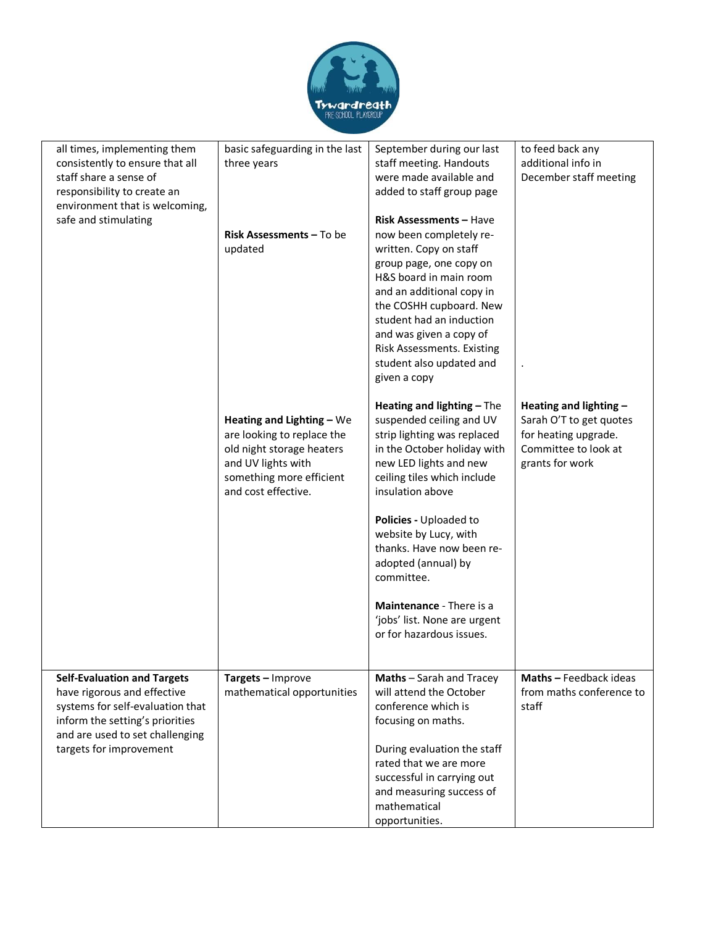

| basic safeguarding in the last<br>three years                                                                                                                 | September during our last<br>staff meeting. Handouts<br>were made available and<br>added to staff group page                                                                                                                                                                                                      | to feed back any<br>additional info in<br>December staff meeting                                                     |
|---------------------------------------------------------------------------------------------------------------------------------------------------------------|-------------------------------------------------------------------------------------------------------------------------------------------------------------------------------------------------------------------------------------------------------------------------------------------------------------------|----------------------------------------------------------------------------------------------------------------------|
| <b>Risk Assessments – To be</b><br>updated                                                                                                                    | <b>Risk Assessments - Have</b><br>now been completely re-<br>written. Copy on staff<br>group page, one copy on<br>H&S board in main room<br>and an additional copy in<br>the COSHH cupboard. New<br>student had an induction<br>and was given a copy of<br>Risk Assessments. Existing<br>student also updated and |                                                                                                                      |
| Heating and Lighting - We<br>are looking to replace the<br>old night storage heaters<br>and UV lights with<br>something more efficient<br>and cost effective. | Heating and lighting - The<br>suspended ceiling and UV<br>strip lighting was replaced<br>in the October holiday with<br>new LED lights and new<br>ceiling tiles which include<br>insulation above                                                                                                                 | Heating and lighting -<br>Sarah O'T to get quotes<br>for heating upgrade.<br>Committee to look at<br>grants for work |
|                                                                                                                                                               | Policies - Uploaded to<br>website by Lucy, with<br>thanks. Have now been re-<br>adopted (annual) by<br>committee.                                                                                                                                                                                                 |                                                                                                                      |
|                                                                                                                                                               | Maintenance - There is a<br>'jobs' list. None are urgent<br>or for hazardous issues.                                                                                                                                                                                                                              |                                                                                                                      |
| Targets - Improve<br>mathematical opportunities                                                                                                               | Maths - Sarah and Tracey<br>will attend the October<br>conference which is<br>focusing on maths.<br>During evaluation the staff<br>rated that we are more<br>successful in carrying out<br>and measuring success of<br>mathematical                                                                               | Maths - Feedback ideas<br>from maths conference to<br>staff                                                          |
|                                                                                                                                                               |                                                                                                                                                                                                                                                                                                                   | given a copy<br>opportunities.                                                                                       |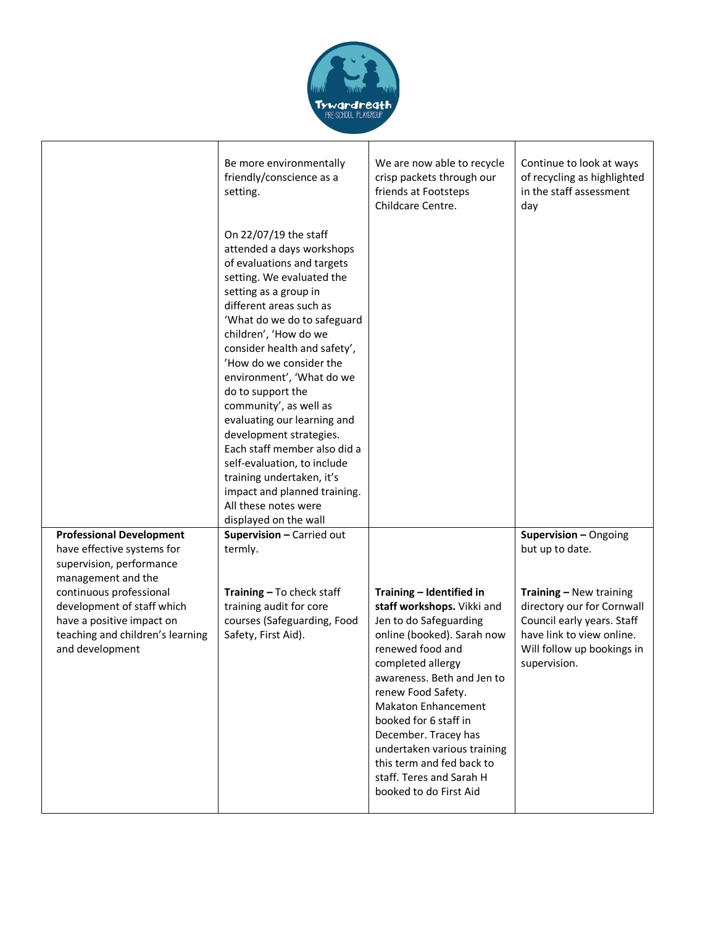

|                                                                                                                                           | Be more environmentally<br>friendly/conscience as a<br>setting.                                                                                                                                                                                                                                                                                                                                                                                                                                                                                                                                         | We are now able to recycle<br>crisp packets through our<br>friends at Footsteps<br>Childcare Centre.                                                                                                                                                                                                                                                                                                         | Continue to look at ways<br>of recycling as highlighted<br>in the staff assessment<br>day                                                                      |
|-------------------------------------------------------------------------------------------------------------------------------------------|---------------------------------------------------------------------------------------------------------------------------------------------------------------------------------------------------------------------------------------------------------------------------------------------------------------------------------------------------------------------------------------------------------------------------------------------------------------------------------------------------------------------------------------------------------------------------------------------------------|--------------------------------------------------------------------------------------------------------------------------------------------------------------------------------------------------------------------------------------------------------------------------------------------------------------------------------------------------------------------------------------------------------------|----------------------------------------------------------------------------------------------------------------------------------------------------------------|
|                                                                                                                                           | On 22/07/19 the staff<br>attended a days workshops<br>of evaluations and targets<br>setting. We evaluated the<br>setting as a group in<br>different areas such as<br>'What do we do to safeguard<br>children', 'How do we<br>consider health and safety',<br>'How do we consider the<br>environment', 'What do we<br>do to support the<br>community', as well as<br>evaluating our learning and<br>development strategies.<br>Each staff member also did a<br>self-evaluation, to include<br>training undertaken, it's<br>impact and planned training.<br>All these notes were<br>displayed on the wall |                                                                                                                                                                                                                                                                                                                                                                                                              |                                                                                                                                                                |
| <b>Professional Development</b>                                                                                                           | Supervision - Carried out                                                                                                                                                                                                                                                                                                                                                                                                                                                                                                                                                                               |                                                                                                                                                                                                                                                                                                                                                                                                              | Supervision - Ongoing                                                                                                                                          |
| have effective systems for<br>supervision, performance<br>management and the                                                              | termly.                                                                                                                                                                                                                                                                                                                                                                                                                                                                                                                                                                                                 |                                                                                                                                                                                                                                                                                                                                                                                                              | but up to date.                                                                                                                                                |
| continuous professional<br>development of staff which<br>have a positive impact on<br>teaching and children's learning<br>and development | Training - To check staff<br>training audit for core<br>courses (Safeguarding, Food<br>Safety, First Aid).                                                                                                                                                                                                                                                                                                                                                                                                                                                                                              | Training - Identified in<br>staff workshops. Vikki and<br>Jen to do Safeguarding<br>online (booked). Sarah now<br>renewed food and<br>completed allergy<br>awareness. Beth and Jen to<br>renew Food Safety.<br><b>Makaton Enhancement</b><br>booked for 6 staff in<br>December. Tracey has<br>undertaken various training<br>this term and fed back to<br>staff. Teres and Sarah H<br>booked to do First Aid | Training - New training<br>directory our for Cornwall<br>Council early years. Staff<br>have link to view online.<br>Will follow up bookings in<br>supervision. |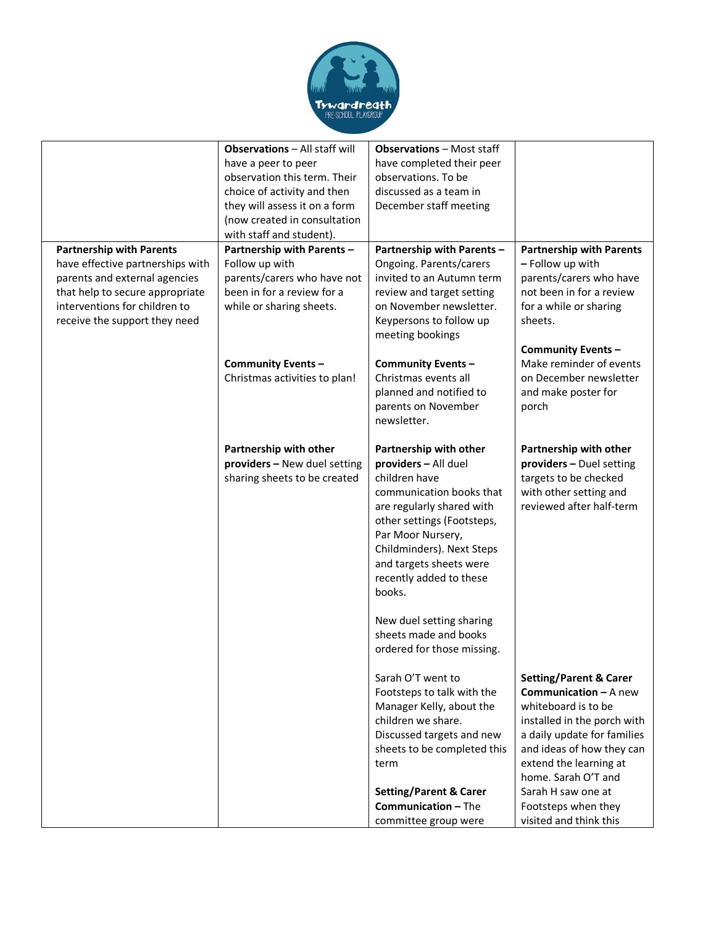

|                                                                                                                                                                                                           | <b>Observations - All staff will</b>                                                                                                  | <b>Observations - Most staff</b>                                                                                                                                                                                                                                                                                                                            |                                                                                                                                                                                                                                                                                                             |
|-----------------------------------------------------------------------------------------------------------------------------------------------------------------------------------------------------------|---------------------------------------------------------------------------------------------------------------------------------------|-------------------------------------------------------------------------------------------------------------------------------------------------------------------------------------------------------------------------------------------------------------------------------------------------------------------------------------------------------------|-------------------------------------------------------------------------------------------------------------------------------------------------------------------------------------------------------------------------------------------------------------------------------------------------------------|
|                                                                                                                                                                                                           | have a peer to peer                                                                                                                   | have completed their peer                                                                                                                                                                                                                                                                                                                                   |                                                                                                                                                                                                                                                                                                             |
|                                                                                                                                                                                                           | observation this term. Their                                                                                                          | observations. To be                                                                                                                                                                                                                                                                                                                                         |                                                                                                                                                                                                                                                                                                             |
|                                                                                                                                                                                                           | choice of activity and then                                                                                                           | discussed as a team in                                                                                                                                                                                                                                                                                                                                      |                                                                                                                                                                                                                                                                                                             |
|                                                                                                                                                                                                           | they will assess it on a form                                                                                                         | December staff meeting                                                                                                                                                                                                                                                                                                                                      |                                                                                                                                                                                                                                                                                                             |
|                                                                                                                                                                                                           | (now created in consultation                                                                                                          |                                                                                                                                                                                                                                                                                                                                                             |                                                                                                                                                                                                                                                                                                             |
|                                                                                                                                                                                                           |                                                                                                                                       |                                                                                                                                                                                                                                                                                                                                                             |                                                                                                                                                                                                                                                                                                             |
|                                                                                                                                                                                                           | with staff and student).                                                                                                              |                                                                                                                                                                                                                                                                                                                                                             |                                                                                                                                                                                                                                                                                                             |
| <b>Partnership with Parents</b><br>have effective partnerships with<br>parents and external agencies<br>that help to secure appropriate<br>interventions for children to<br>receive the support they need | Partnership with Parents -<br>Follow up with<br>parents/carers who have not<br>been in for a review for a<br>while or sharing sheets. | Partnership with Parents -<br>Ongoing. Parents/carers<br>invited to an Autumn term<br>review and target setting<br>on November newsletter.<br>Keypersons to follow up<br>meeting bookings                                                                                                                                                                   | <b>Partnership with Parents</b><br>- Follow up with<br>parents/carers who have<br>not been in for a review<br>for a while or sharing<br>sheets.                                                                                                                                                             |
|                                                                                                                                                                                                           | Community Events -<br>Christmas activities to plan!                                                                                   | <b>Community Events-</b><br>Christmas events all<br>planned and notified to<br>parents on November<br>newsletter.                                                                                                                                                                                                                                           | <b>Community Events -</b><br>Make reminder of events<br>on December newsletter<br>and make poster for<br>porch                                                                                                                                                                                              |
|                                                                                                                                                                                                           |                                                                                                                                       |                                                                                                                                                                                                                                                                                                                                                             |                                                                                                                                                                                                                                                                                                             |
|                                                                                                                                                                                                           | Partnership with other<br>providers - New duel setting<br>sharing sheets to be created                                                | Partnership with other<br>providers - All duel<br>children have<br>communication books that<br>are regularly shared with<br>other settings (Footsteps,<br>Par Moor Nursery,<br>Childminders). Next Steps<br>and targets sheets were<br>recently added to these<br>books.<br>New duel setting sharing<br>sheets made and books<br>ordered for those missing. | Partnership with other<br>providers - Duel setting<br>targets to be checked<br>with other setting and<br>reviewed after half-term                                                                                                                                                                           |
|                                                                                                                                                                                                           |                                                                                                                                       | Sarah O'T went to<br>Footsteps to talk with the<br>Manager Kelly, about the<br>children we share.<br>Discussed targets and new<br>sheets to be completed this<br>term<br><b>Setting/Parent &amp; Carer</b><br><b>Communication - The</b><br>committee group were                                                                                            | <b>Setting/Parent &amp; Carer</b><br><b>Communication - A new</b><br>whiteboard is to be<br>installed in the porch with<br>a daily update for families<br>and ideas of how they can<br>extend the learning at<br>home. Sarah O'T and<br>Sarah H saw one at<br>Footsteps when they<br>visited and think this |